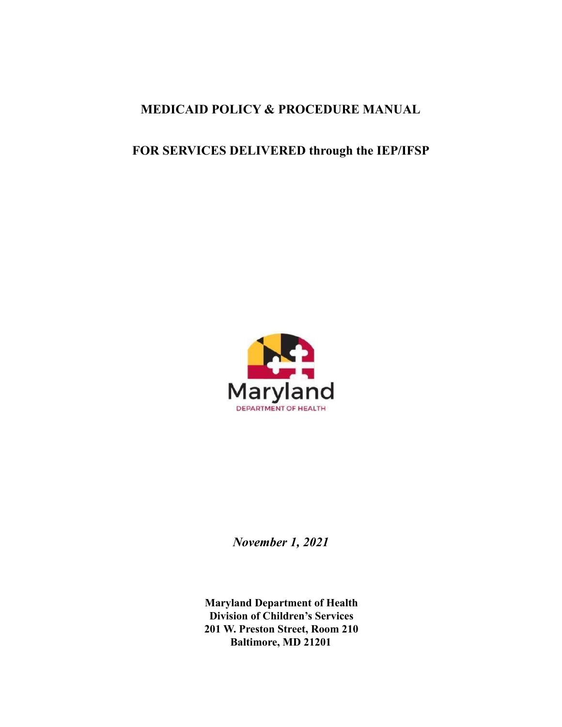# **MEDICAID POLICY & PROCEDURE MANUAL**

# **FOR SERVICES DELIVERED through the IEP/IFSP**



*November 1, 2021*

**Maryland Department of Health Division of Children's Services 201 W. Preston Street, Room 210 Baltimore, MD 21201**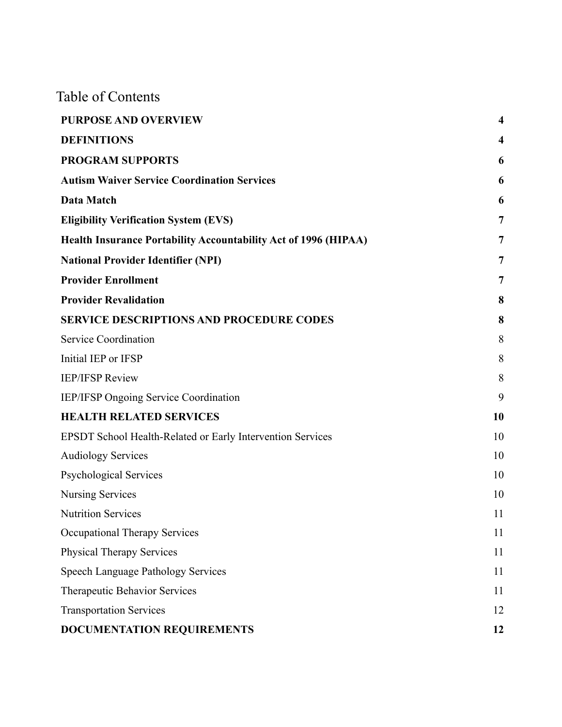Table of Contents

| <b>PURPOSE AND OVERVIEW</b>                                            | $\overline{\mathbf{4}}$ |
|------------------------------------------------------------------------|-------------------------|
| <b>DEFINITIONS</b>                                                     | $\overline{\mathbf{4}}$ |
| <b>PROGRAM SUPPORTS</b>                                                | 6                       |
| <b>Autism Waiver Service Coordination Services</b>                     | 6                       |
| Data Match                                                             | 6                       |
| <b>Eligibility Verification System (EVS)</b>                           | $\overline{7}$          |
| <b>Health Insurance Portability Accountability Act of 1996 (HIPAA)</b> | 7                       |
| <b>National Provider Identifier (NPI)</b>                              | 7                       |
| <b>Provider Enrollment</b>                                             | 7                       |
| <b>Provider Revalidation</b>                                           | 8                       |
| <b>SERVICE DESCRIPTIONS AND PROCEDURE CODES</b>                        | 8                       |
| <b>Service Coordination</b>                                            | 8                       |
| Initial IEP or IFSP                                                    | 8                       |
| <b>IEP/IFSP Review</b>                                                 | 8                       |
| <b>IEP/IFSP Ongoing Service Coordination</b>                           | 9                       |
| <b>HEALTH RELATED SERVICES</b>                                         | 10                      |
| EPSDT School Health-Related or Early Intervention Services             | 10                      |
| <b>Audiology Services</b>                                              | 10                      |
| <b>Psychological Services</b>                                          | 10                      |
| <b>Nursing Services</b>                                                | 10                      |
| <b>Nutrition Services</b>                                              | 11                      |
| <b>Occupational Therapy Services</b>                                   | 11                      |
| <b>Physical Therapy Services</b>                                       | 11                      |
| Speech Language Pathology Services                                     | 11                      |
| Therapeutic Behavior Services                                          | 11                      |
| <b>Transportation Services</b>                                         | 12                      |
| <b>DOCUMENTATION REQUIREMENTS</b>                                      | 12                      |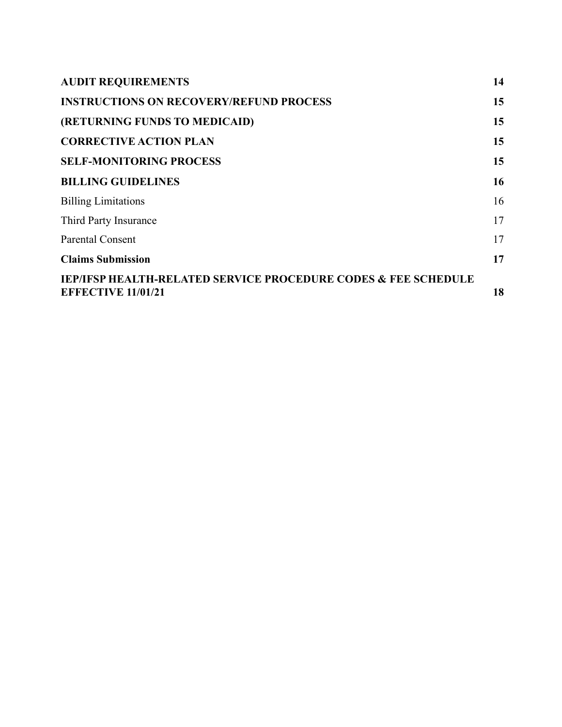| <b>AUDIT REQUIREMENTS</b>                                                                              | 14 |
|--------------------------------------------------------------------------------------------------------|----|
| <b>INSTRUCTIONS ON RECOVERY/REFUND PROCESS</b>                                                         | 15 |
| (RETURNING FUNDS TO MEDICAID)                                                                          | 15 |
| <b>CORRECTIVE ACTION PLAN</b>                                                                          | 15 |
| <b>SELF-MONITORING PROCESS</b>                                                                         | 15 |
| <b>BILLING GUIDELINES</b>                                                                              | 16 |
| <b>Billing Limitations</b>                                                                             | 16 |
| Third Party Insurance                                                                                  | 17 |
| <b>Parental Consent</b>                                                                                | 17 |
| <b>Claims Submission</b>                                                                               | 17 |
| <b>IEP/IFSP HEALTH-RELATED SERVICE PROCEDURE CODES &amp; FEE SCHEDULE</b><br><b>EFFECTIVE 11/01/21</b> | 18 |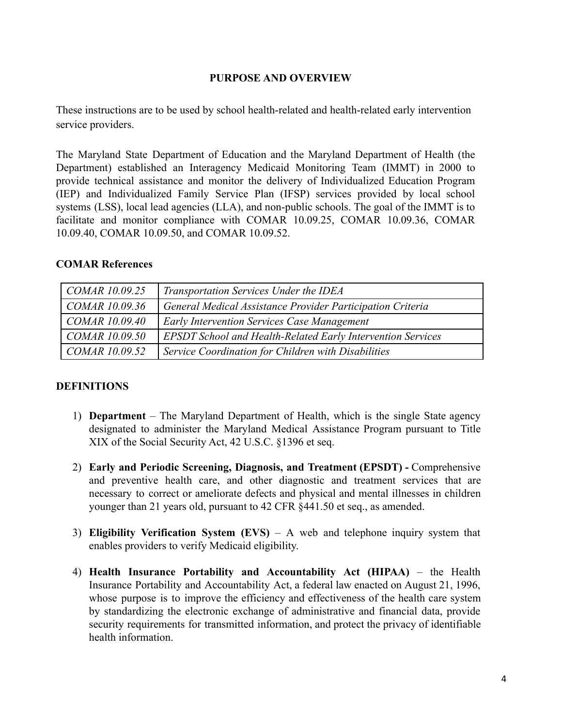## **PURPOSE AND OVERVIEW**

<span id="page-3-0"></span>These instructions are to be used by school health-related and health-related early intervention service providers.

The Maryland State Department of Education and the Maryland Department of Health (the Department) established an Interagency Medicaid Monitoring Team (IMMT) in 2000 to provide technical assistance and monitor the delivery of Individualized Education Program (IEP) and Individualized Family Service Plan (IFSP) services provided by local school systems (LSS), local lead agencies (LLA), and non-public schools. The goal of the IMMT is to facilitate and monitor compliance with COMAR 10.09.25, COMAR 10.09.36, COMAR 10.09.40, COMAR 10.09.50, and COMAR 10.09.52.

#### **COMAR References**

| $\mathcal{COMAR}$ 10.09.25 | Transportation Services Under the IDEA                             |
|----------------------------|--------------------------------------------------------------------|
| COMAR 10.09.36             | General Medical Assistance Provider Participation Criteria         |
| $\mathcal{COMAR}$ 10.09.40 | <b>Early Intervention Services Case Management</b>                 |
| COMAR 10.09.50             | <b>EPSDT School and Health-Related Early Intervention Services</b> |
| COMAR 10.09.52             | Service Coordination for Children with Disabilities                |

## <span id="page-3-1"></span>**DEFINITIONS**

- 1) **Department** The Maryland Department of Health, which is the single State agency designated to administer the Maryland Medical Assistance Program pursuant to Title XIX of the Social Security Act, 42 U.S.C. §1396 et seq.
- 2) **Early and Periodic Screening, Diagnosis, and Treatment (EPSDT) -** Comprehensive and preventive health care, and other diagnostic and treatment services that are necessary to correct or ameliorate defects and physical and mental illnesses in children younger than 21 years old, pursuant to 42 CFR §441.50 et seq., as amended.
- 3) **Eligibility Verification System (EVS)** A web and telephone inquiry system that enables providers to verify Medicaid eligibility.
- 4) **Health Insurance Portability and Accountability Act (HIPAA)** the Health Insurance Portability and Accountability Act, a federal law enacted on August 21, 1996, whose purpose is to improve the efficiency and effectiveness of the health care system by standardizing the electronic exchange of administrative and financial data, provide security requirements for transmitted information, and protect the privacy of identifiable health information.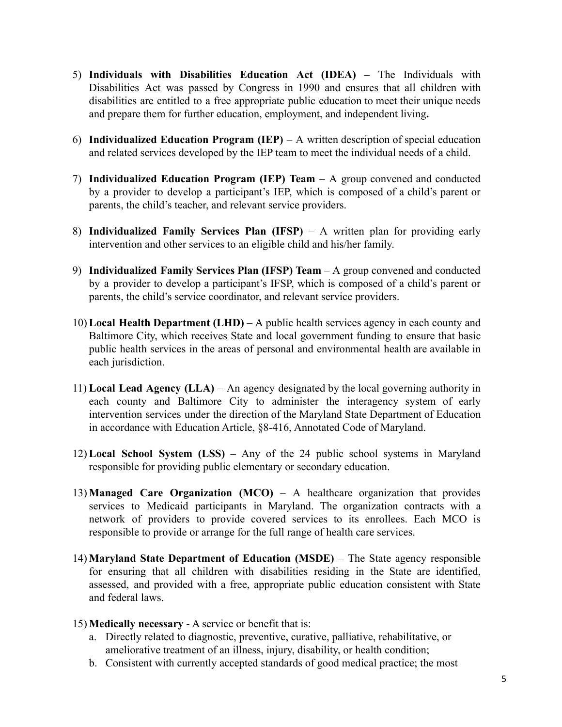- 5) **Individuals with Disabilities Education Act (IDEA) –** The Individuals with Disabilities Act was passed by Congress in 1990 and ensures that all children with disabilities are entitled to a free appropriate public education to meet their unique needs and prepare them for further education, employment, and independent living**.**
- 6) **Individualized Education Program (IEP)** A written description of special education and related services developed by the IEP team to meet the individual needs of a child.
- 7) **Individualized Education Program (IEP) Team** A group convened and conducted by a provider to develop a participant's IEP, which is composed of a child's parent or parents, the child's teacher, and relevant service providers.
- 8) **Individualized Family Services Plan (IFSP)** A written plan for providing early intervention and other services to an eligible child and his/her family.
- 9) **Individualized Family Services Plan (IFSP) Team** A group convened and conducted by a provider to develop a participant's IFSP, which is composed of a child's parent or parents, the child's service coordinator, and relevant service providers.
- 10) **Local Health Department (LHD)** A public health services agency in each county and Baltimore City, which receives State and local government funding to ensure that basic public health services in the areas of personal and environmental health are available in each jurisdiction.
- 11) **Local Lead Agency (LLA)** An agency designated by the local governing authority in each county and Baltimore City to administer the interagency system of early intervention services under the direction of the Maryland State Department of Education in accordance with Education Article, §8-416, Annotated Code of Maryland.
- 12) **Local School System (LSS) –** Any of the 24 public school systems in Maryland responsible for providing public elementary or secondary education.
- 13) **Managed Care Organization (MCO)** A healthcare organization that provides services to Medicaid participants in Maryland. The organization contracts with a network of providers to provide covered services to its enrollees. Each MCO is responsible to provide or arrange for the full range of health care services.
- 14) **Maryland State Department of Education (MSDE)** The State agency responsible for ensuring that all children with disabilities residing in the State are identified, assessed, and provided with a free, appropriate public education consistent with State and federal laws.
- 15) **Medically necessary** A service or benefit that is:
	- a. Directly related to diagnostic, preventive, curative, palliative, rehabilitative, or ameliorative treatment of an illness, injury, disability, or health condition;
	- b. Consistent with currently accepted standards of good medical practice; the most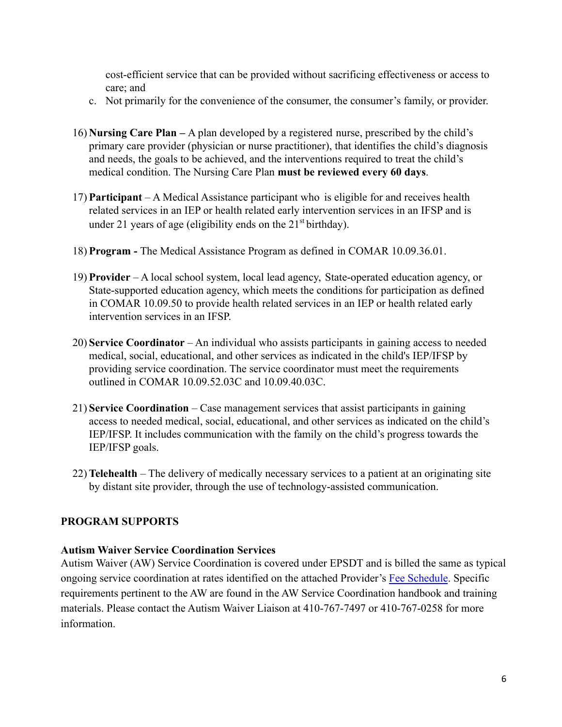cost-efficient service that can be provided without sacrificing effectiveness or access to care; and

- c. Not primarily for the convenience of the consumer, the consumer's family, or provider.
- 16) **Nursing Care Plan –** A plan developed by a registered nurse, prescribed by the child's primary care provider (physician or nurse practitioner), that identifies the child's diagnosis and needs, the goals to be achieved, and the interventions required to treat the child's medical condition. The Nursing Care Plan **must be reviewed every 60 days**.
- 17) **Participant** A Medical Assistance participant who is eligible for and receives health related services in an IEP or health related early intervention services in an IFSP and is under 21 years of age (eligibility ends on the  $21<sup>st</sup>$  birthday).
- 18) **Program -** The Medical Assistance Program as defined in COMAR 10.09.36.01.
- 19) **Provider** A local school system, local lead agency, State-operated education agency, or State-supported education agency, which meets the conditions for participation as defined in COMAR 10.09.50 to provide health related services in an IEP or health related early intervention services in an IFSP.
- 20) **Service Coordinator** An individual who assists participants in gaining access to needed medical, social, educational, and other services as indicated in the child's IEP/IFSP by providing service coordination. The service coordinator must meet the requirements outlined in COMAR 10.09.52.03C and 10.09.40.03C.
- 21) **Service Coordination** Case management services that assist participants in gaining access to needed medical, social, educational, and other services as indicated on the child's IEP/IFSP. It includes communication with the family on the child's progress towards the IEP/IFSP goals.
- 22) **Telehealth** The delivery of medically necessary services to a patient at an originating site by distant site provider, through the use of technology-assisted communication.

## <span id="page-5-0"></span>**PROGRAM SUPPORTS**

## <span id="page-5-1"></span>**Autism Waiver Service Coordination Services**

Autism Waiver (AW) Service Coordination is covered under EPSDT and is billed the same as typical ongoing service coordination at rates identified on the attached Provider's Fee Schedule. Specific requirements pertinent to the AW are found in the AW Service Coordination handbook and training materials. Please contact the Autism Waiver Liaison at 410-767-7497 or 410-767-0258 for more information.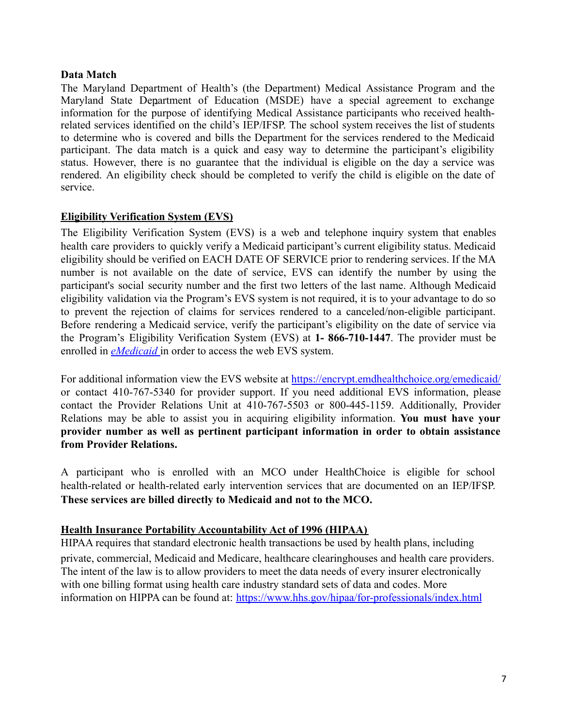### <span id="page-6-0"></span>**Data Match**

The Maryland Department of Health's (the Department) Medical Assistance Program and the Maryland State Department of Education (MSDE) have a special agreement to exchange information for the purpose of identifying Medical Assistance participants who received healthrelated services identified on the child's IEP/IFSP. The school system receives the list of students to determine who is covered and bills the Department for the services rendered to the Medicaid participant. The data match is a quick and easy way to determine the participant's eligibility status. However, there is no guarantee that the individual is eligible on the day a service was rendered. An eligibility check should be completed to verify the child is eligible on the date of service.

## <span id="page-6-1"></span>**Eligibility Verification System (EVS)**

The Eligibility Verification System (EVS) is a web and telephone inquiry system that enables health care providers to quickly verify a Medicaid participant's current eligibility status. Medicaid eligibility should be verified on EACH DATE OF SERVICE prior to rendering services. If the MA number is not available on the date of service, EVS can identify the number by using the participant's social security number and the first two letters of the last name. Although Medicaid eligibility validation via the Program's EVS system is not required, it is to your advantage to do so to prevent the rejection of claims for services rendered to a canceled/non-eligible participant. Before rendering a Medicaid service, verify the participant's eligibility on the date of service via the Program's Eligibility Verification System (EVS) at **1- 866-710-1447**. The provider must be enrolled in *[eMedicaid](https://encrypt.emdhealthchoice.org/emedicaid/)* in order to access the web EVS system.

For additional information view the EVS website at <https://encrypt.emdhealthchoice.org/emedicaid/> or contact 410-767-5340 for provider support. If you need additional EVS information, please contact the Provider Relations Unit at 410-767-5503 or 800-445-1159. Additionally, Provider Relations may be able to assist you in acquiring eligibility information. **You must have your provider number as well as pertinent participant information in order to obtain assistance from Provider Relations.**

A participant who is enrolled with an MCO under HealthChoice is eligible for school health-related or health-related early intervention services that are documented on an IEP/IFSP. **These services are billed directly to Medicaid and not to the MCO.**

## <span id="page-6-2"></span>**Health Insurance Portability Accountability Act of 1996 (HIPAA)**

HIPAA requires that standard electronic health transactions be used by health plans, including private, commercial, Medicaid and Medicare, healthcare clearinghouses and health care providers. The intent of the law is to allow providers to meet the data needs of every insurer electronically with one billing format using health care industry standard sets of data and codes. More information on HIPPA can be found at: <https://www.hhs.gov/hipaa/for-professionals/index.html>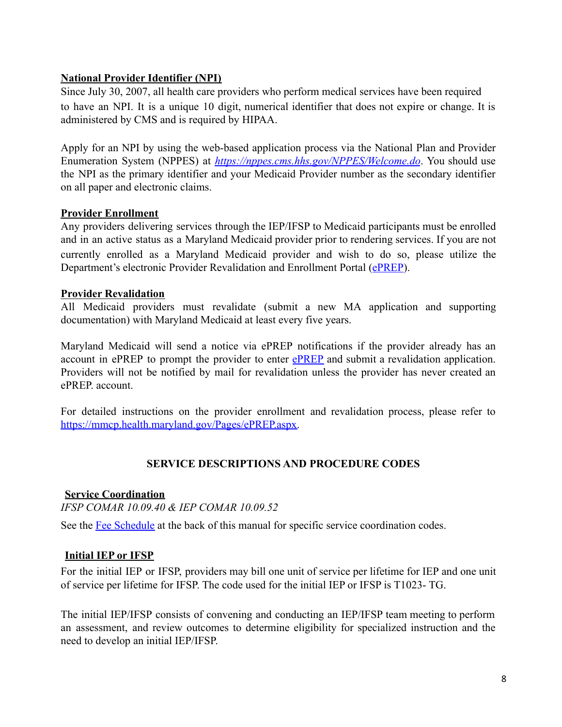## <span id="page-7-0"></span>**National Provider Identifier (NPI)**

Since July 30, 2007, all health care providers who perform medical services have been required to have an NPI. It is a unique 10 digit, numerical identifier that does not expire or change. It is administered by CMS and is required by HIPAA.

Apply for an NPI by using the web-based application process via the National Plan and Provider Enumeration System (NPPES) at *<https://nppes.cms.hhs.gov/NPPES/Welcome.do>*. You should use the NPI as the primary identifier and your Medicaid Provider number as the secondary identifier on all paper and electronic claims.

## <span id="page-7-1"></span>**Provider Enrollment**

Any providers delivering services through the IEP/IFSP to Medicaid participants must be enrolled and in an active status as a Maryland Medicaid provider prior to rendering services. If you are not currently enrolled as a Maryland Medicaid provider and wish to do so, please utilize the Department's electronic Provider Revalidation and Enrollment Portal ([ePREP\)](https://eprep.health.maryland.gov/sso/login.do?).

#### <span id="page-7-2"></span>**Provider Revalidation**

All Medicaid providers must revalidate (submit a new MA application and supporting documentation) with Maryland Medicaid at least every five years.

Maryland Medicaid will send a notice via ePREP notifications if the provider already has an account in [ePREP](https://eprep.health.maryland.gov/sso/login.do?) to prompt the provider to enter ePREP and submit a revalidation application. Providers will not be notified by mail for revalidation unless the provider has never created an ePREP. account.

For detailed instructions on the provider enrollment and revalidation process, please refer to [https://mmcp.health.maryland.gov/Pages/ePREP.aspx.](https://mmcp.health.maryland.gov/Pages/ePREP.aspx)

## **SERVICE DESCRIPTIONS AND PROCEDURE CODES**

## <span id="page-7-4"></span><span id="page-7-3"></span>**Service Coordination**

*IFSP COMAR 10.09.40 & IEP COMAR 10.09.52*

See the Fee Schedule at the back of this manual for specific service coordination codes.

## <span id="page-7-5"></span>**Initial IEP or IFSP**

For the initial IEP or IFSP, providers may bill one unit of service per lifetime for IEP and one unit of service per lifetime for IFSP. The code used for the initial IEP or IFSP is T1023- TG.

The initial IEP/IFSP consists of convening and conducting an IEP/IFSP team meeting to perform an assessment, and review outcomes to determine eligibility for specialized instruction and the need to develop an initial IEP/IFSP.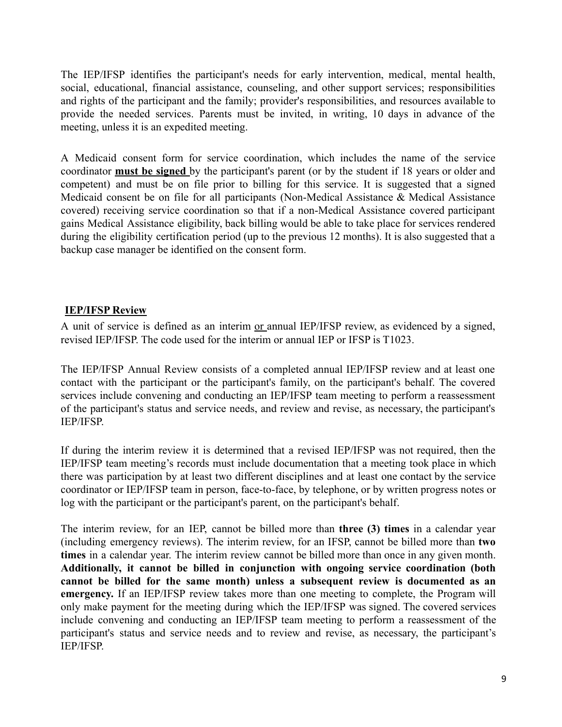The IEP/IFSP identifies the participant's needs for early intervention, medical, mental health, social, educational, financial assistance, counseling, and other support services; responsibilities and rights of the participant and the family; provider's responsibilities, and resources available to provide the needed services. Parents must be invited, in writing, 10 days in advance of the meeting, unless it is an expedited meeting.

A Medicaid consent form for service coordination, which includes the name of the service coordinator **must be signed** by the participant's parent (or by the student if 18 years or older and competent) and must be on file prior to billing for this service. It is suggested that a signed Medicaid consent be on file for all participants (Non-Medical Assistance & Medical Assistance covered) receiving service coordination so that if a non-Medical Assistance covered participant gains Medical Assistance eligibility, back billing would be able to take place for services rendered during the eligibility certification period (up to the previous 12 months). It is also suggested that a backup case manager be identified on the consent form.

#### <span id="page-8-0"></span>**IEP/IFSP Review**

A unit of service is defined as an interim or annual IEP/IFSP review, as evidenced by a signed, revised IEP/IFSP. The code used for the interim or annual IEP or IFSP is T1023.

The IEP/IFSP Annual Review consists of a completed annual IEP/IFSP review and at least one contact with the participant or the participant's family, on the participant's behalf. The covered services include convening and conducting an IEP/IFSP team meeting to perform a reassessment of the participant's status and service needs, and review and revise, as necessary, the participant's IEP/IFSP.

If during the interim review it is determined that a revised IEP/IFSP was not required, then the IEP/IFSP team meeting's records must include documentation that a meeting took place in which there was participation by at least two different disciplines and at least one contact by the service coordinator or IEP/IFSP team in person, face-to-face, by telephone, or by written progress notes or log with the participant or the participant's parent, on the participant's behalf.

The interim review, for an IEP, cannot be billed more than **three (3) times** in a calendar year (including emergency reviews). The interim review, for an IFSP, cannot be billed more than **two times** in a calendar year. The interim review cannot be billed more than once in any given month. **Additionally, it cannot be billed in conjunction with ongoing service coordination (both cannot be billed for the same month) unless a subsequent review is documented as an emergency.** If an IEP/IFSP review takes more than one meeting to complete, the Program will only make payment for the meeting during which the IEP/IFSP was signed. The covered services include convening and conducting an IEP/IFSP team meeting to perform a reassessment of the participant's status and service needs and to review and revise, as necessary, the participant's IEP/IFSP.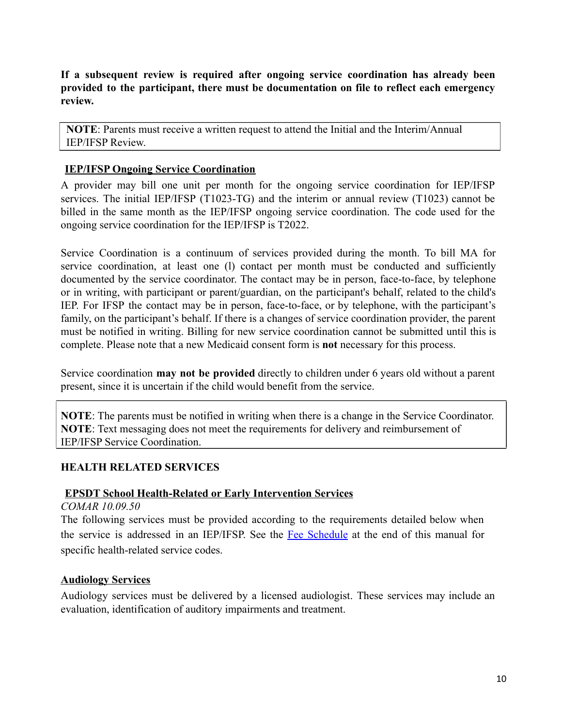**If a subsequent review is required after ongoing service coordination has already been provided to the participant, there must be documentation on file to reflect each emergency review.**

**NOTE**: Parents must receive a written request to attend the Initial and the Interim/Annual IEP/IFSP Review.

### <span id="page-9-0"></span>**IEP/IFSP Ongoing Service Coordination**

A provider may bill one unit per month for the ongoing service coordination for IEP/IFSP services. The initial IEP/IFSP (T1023-TG) and the interim or annual review (T1023) cannot be billed in the same month as the IEP/IFSP ongoing service coordination. The code used for the ongoing service coordination for the IEP/IFSP is T2022.

Service Coordination is a continuum of services provided during the month. To bill MA for service coordination, at least one (l) contact per month must be conducted and sufficiently documented by the service coordinator. The contact may be in person, face-to-face, by telephone or in writing, with participant or parent/guardian, on the participant's behalf, related to the child's IEP. For IFSP the contact may be in person, face-to-face, or by telephone, with the participant's family, on the participant's behalf. If there is a changes of service coordination provider, the parent must be notified in writing. Billing for new service coordination cannot be submitted until this is complete. Please note that a new Medicaid consent form is **not** necessary for this process.

Service coordination **may not be provided** directly to children under 6 years old without a parent present, since it is uncertain if the child would benefit from the service.

**NOTE**: The parents must be notified in writing when there is a change in the Service Coordinator. **NOTE**: Text messaging does not meet the requirements for delivery and reimbursement of IEP/IFSP Service Coordination.

## <span id="page-9-1"></span>**HEALTH RELATED SERVICES**

#### <span id="page-9-2"></span>**EPSDT School Health-Related or Early Intervention Services**

*COMAR 10.09.50*

The following services must be provided according to the requirements detailed below when the service is addressed in an IEP/IFSP. See the Fee Schedule at the end of this manual for specific health-related service codes.

#### <span id="page-9-3"></span>**Audiology Services**

Audiology services must be delivered by a licensed audiologist. These services may include an evaluation, identification of auditory impairments and treatment.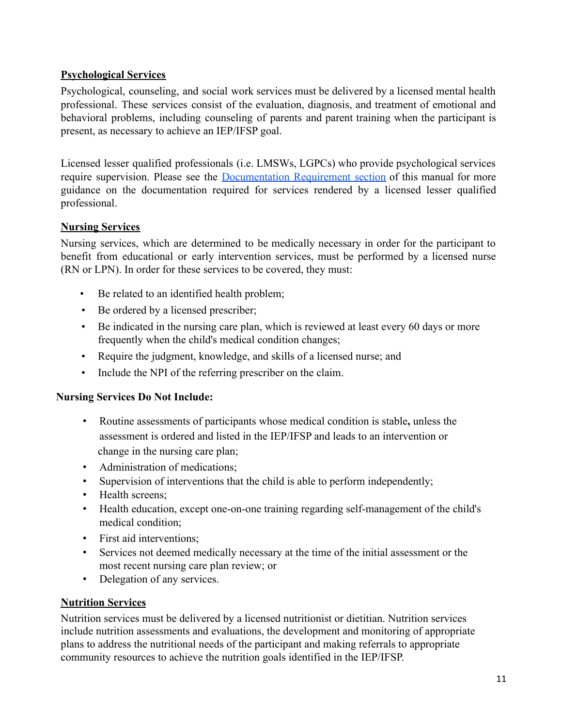## <span id="page-10-0"></span>**Psychological Services**

Psychological, counseling, and social work services must be delivered by a licensed mental health professional. These services consist of the evaluation, diagnosis, and treatment of emotional and behavioral problems, including counseling of parents and parent training when the participant is present, as necessary to achieve an IEP/IFSP goal.

Licensed lesser qualified professionals (i.e. LMSWs, LGPCs) who provide psychological services require supervision. Please see the Documentation Requirement section of this manual for more guidance on the documentation required for services rendered by a licensed lesser qualified professional.

## <span id="page-10-1"></span>**Nursing Services**

Nursing services, which are determined to be medically necessary in order for the participant to benefit from educational or early intervention services, must be performed by a licensed nurse (RN or LPN). In order for these services to be covered, they must:

- Be related to an identified health problem;
- Be ordered by a licensed prescriber;
- Be indicated in the nursing care plan, which is reviewed at least every 60 days or more frequently when the child's medical condition changes;
- Require the judgment, knowledge, and skills of a licensed nurse; and
- Include the NPI of the referring prescriber on the claim.

## **Nursing Services Do Not Include:**

- Routine assessments of participants whose medical condition is stable**,** unless the assessment is ordered and listed in the IEP/IFSP and leads to an intervention or change in the nursing care plan;
- Administration of medications;
- Supervision of interventions that the child is able to perform independently;
- Health screens;
- Health education, except one-on-one training regarding self-management of the child's medical condition;
- First aid interventions;
- Services not deemed medically necessary at the time of the initial assessment or the most recent nursing care plan review; or
- Delegation of any services.

## <span id="page-10-2"></span>**Nutrition Services**

Nutrition services must be delivered by a licensed nutritionist or dietitian. Nutrition services include nutrition assessments and evaluations, the development and monitoring of appropriate plans to address the nutritional needs of the participant and making referrals to appropriate community resources to achieve the nutrition goals identified in the IEP/IFSP.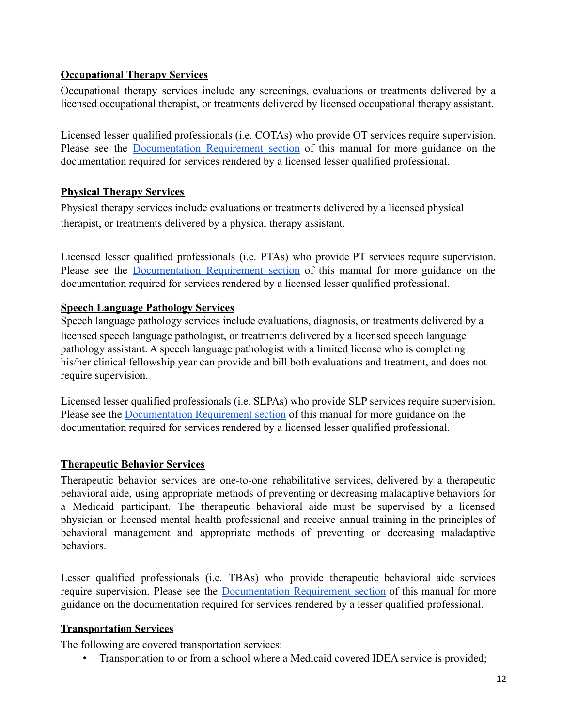## <span id="page-11-0"></span>**Occupational Therapy Services**

Occupational therapy services include any screenings, evaluations or treatments delivered by a licensed occupational therapist, or treatments delivered by licensed occupational therapy assistant.

Licensed lesser qualified professionals (i.e. COTAs) who provide OT services require supervision. Please see the Documentation Requirement section of this manual for more guidance on the documentation required for services rendered by a licensed lesser qualified professional.

## <span id="page-11-1"></span>**Physical Therapy Services**

Physical therapy services include evaluations or treatments delivered by a licensed physical therapist, or treatments delivered by a physical therapy assistant.

Licensed lesser qualified professionals (i.e. PTAs) who provide PT services require supervision. Please see the Documentation Requirement section of this manual for more guidance on the documentation required for services rendered by a licensed lesser qualified professional.

## <span id="page-11-2"></span>**Speech Language Pathology Services**

Speech language pathology services include evaluations, diagnosis, or treatments delivered by a licensed speech language pathologist, or treatments delivered by a licensed speech language pathology assistant. A speech language pathologist with a limited license who is completing his/her clinical fellowship year can provide and bill both evaluations and treatment, and does not require supervision.

Licensed lesser qualified professionals (i.e. SLPAs) who provide SLP services require supervision. Please see the Documentation Requirement section of this manual for more guidance on the documentation required for services rendered by a licensed lesser qualified professional.

## <span id="page-11-3"></span>**Therapeutic Behavior Services**

Therapeutic behavior services are one-to-one rehabilitative services, delivered by a therapeutic behavioral aide, using appropriate methods of preventing or decreasing maladaptive behaviors for a Medicaid participant. The therapeutic behavioral aide must be supervised by a licensed physician or licensed mental health professional and receive annual training in the principles of behavioral management and appropriate methods of preventing or decreasing maladaptive behaviors.

Lesser qualified professionals (i.e. TBAs) who provide therapeutic behavioral aide services require supervision. Please see the Documentation Requirement section of this manual for more guidance on the documentation required for services rendered by a lesser qualified professional.

## <span id="page-11-4"></span>**Transportation Services**

The following are covered transportation services:

• Transportation to or from a school where a Medicaid covered IDEA service is provided;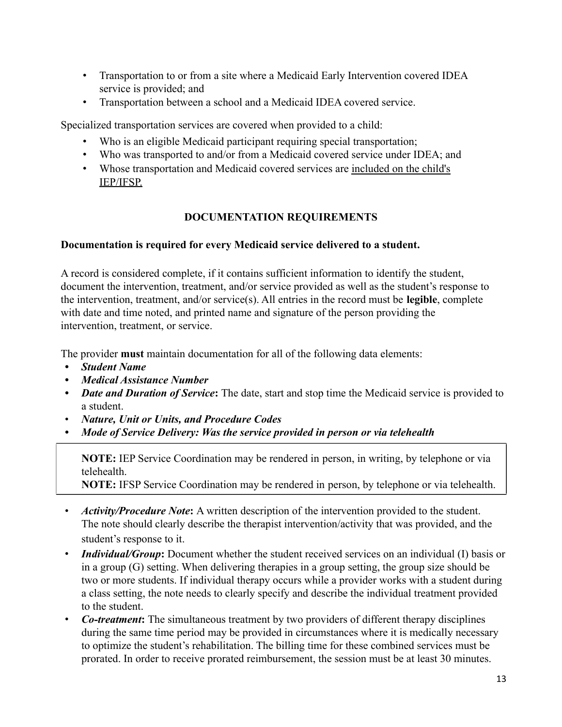- Transportation to or from a site where a Medicaid Early Intervention covered IDEA service is provided; and
- Transportation between a school and a Medicaid IDEA covered service.

Specialized transportation services are covered when provided to a child:

- Who is an eligible Medicaid participant requiring special transportation;
- Who was transported to and/or from a Medicaid covered service under IDEA; and
- Whose transportation and Medicaid covered services are included on the child's IEP/IFSP.

## **DOCUMENTATION REQUIREMENTS**

## <span id="page-12-0"></span>**Documentation is required for every Medicaid service delivered to a student.**

A record is considered complete, if it contains sufficient information to identify the student, document the intervention, treatment, and/or service provided as well as the student's response to the intervention, treatment, and/or service(s). All entries in the record must be **legible**, complete with date and time noted, and printed name and signature of the person providing the intervention, treatment, or service.

The provider **must** maintain documentation for all of the following data elements:

- *• Student Name*
- *• Medical Assistance Number*
- *Date and Duration of Service*: The date, start and stop time the Medicaid service is provided to a student.
- *Nature, Unit or Units, and Procedure Codes*
- *• Mode of Service Delivery: Was the service provided in person or via telehealth*

**NOTE:** IEP Service Coordination may be rendered in person, in writing, by telephone or via telehealth.

**NOTE:** IFSP Service Coordination may be rendered in person, by telephone or via telehealth.

- *Activity/Procedure Note***:** A written description of the intervention provided to the student. The note should clearly describe the therapist intervention/activity that was provided, and the student's response to it.
- *Individual/Group*: Document whether the student received services on an individual (I) basis or in a group (G) setting. When delivering therapies in a group setting, the group size should be two or more students. If individual therapy occurs while a provider works with a student during a class setting, the note needs to clearly specify and describe the individual treatment provided to the student.
- *Co-treatment***:** The simultaneous treatment by two providers of different therapy disciplines during the same time period may be provided in circumstances where it is medically necessary to optimize the student's rehabilitation. The billing time for these combined services must be prorated. In order to receive prorated reimbursement, the session must be at least 30 minutes.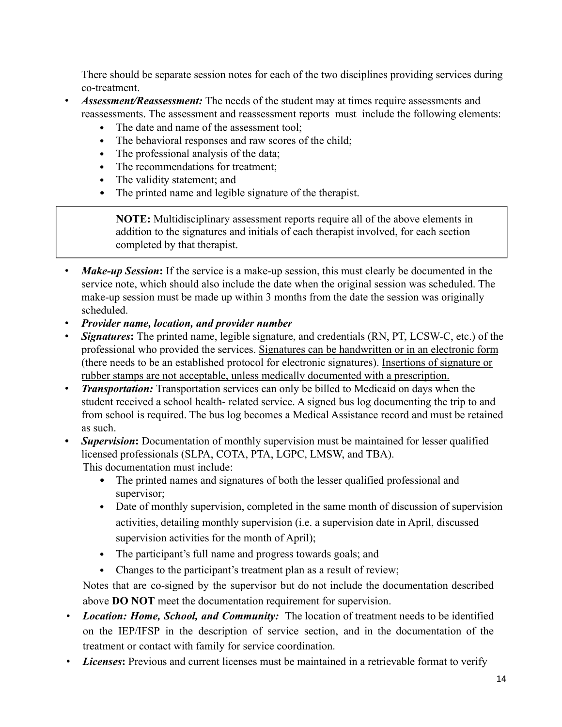There should be separate session notes for each of the two disciplines providing services during co-treatment.

- *Assessment/Reassessment:* The needs of the student may at times require assessments and reassessments. The assessment and reassessment reports must include the following elements:
	- The date and name of the assessment tool;
	- The behavioral responses and raw scores of the child;
	- The professional analysis of the data;
	- The recommendations for treatment;
	- The validity statement; and
	- The printed name and legible signature of the therapist.

**NOTE:** Multidisciplinary assessment reports require all of the above elements in addition to the signatures and initials of each therapist involved, for each section completed by that therapist.

- *Make-up Session*: If the service is a make-up session, this must clearly be documented in the service note, which should also include the date when the original session was scheduled. The make-up session must be made up within 3 months from the date the session was originally scheduled.
- *Provider name, location, and provider number*
- *Signatures***:** The printed name, legible signature, and credentials (RN, PT, LCSW-C, etc.) of the professional who provided the services. Signatures can be handwritten or in an electronic form (there needs to be an established protocol for electronic signatures). Insertions of signature or rubber stamps are not acceptable, unless medically documented with a prescription.
- *Transportation:* Transportation services can only be billed to Medicaid on days when the student received a school health- related service. A signed bus log documenting the trip to and from school is required. The bus log becomes a Medical Assistance record and must be retained as such.
- *• Supervision***:** Documentation of monthly supervision must be maintained for lesser qualified licensed professionals (SLPA, COTA, PTA, LGPC, LMSW, and TBA). This documentation must include:
	- The printed names and signatures of both the lesser qualified professional and supervisor;
	- Date of monthly supervision, completed in the same month of discussion of supervision activities, detailing monthly supervision (i.e. a supervision date in April, discussed supervision activities for the month of April);
	- The participant's full name and progress towards goals; and
	- Changes to the participant's treatment plan as a result of review;

Notes that are co-signed by the supervisor but do not include the documentation described above **DO NOT** meet the documentation requirement for supervision.

- *Location: Home, School, and Community:* The location of treatment needs to be identified on the IEP/IFSP in the description of service section, and in the documentation of the treatment or contact with family for service coordination.
- **Licenses:** Previous and current licenses must be maintained in a retrievable format to verify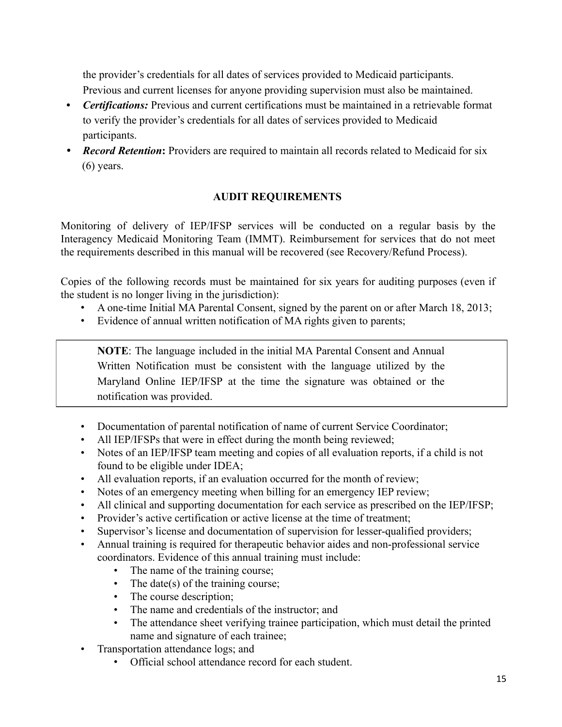the provider's credentials for all dates of services provided to Medicaid participants. Previous and current licenses for anyone providing supervision must also be maintained.

- *• Certifications:* Previous and current certifications must be maintained in a retrievable format to verify the provider's credentials for all dates of services provided to Medicaid participants.
- *Record Retention:* Providers are required to maintain all records related to Medicaid for six (6) years.

## **AUDIT REQUIREMENTS**

<span id="page-14-0"></span>Monitoring of delivery of IEP/IFSP services will be conducted on a regular basis by the Interagency Medicaid Monitoring Team (IMMT). Reimbursement for services that do not meet the requirements described in this manual will be recovered (see Recovery/Refund Process).

Copies of the following records must be maintained for six years for auditing purposes (even if the student is no longer living in the jurisdiction):

- A one-time Initial MA Parental Consent, signed by the parent on or after March 18, 2013;
- Evidence of annual written notification of MA rights given to parents;

**NOTE**: The language included in the initial MA Parental Consent and Annual Written Notification must be consistent with the language utilized by the Maryland Online IEP/IFSP at the time the signature was obtained or the notification was provided.

- Documentation of parental notification of name of current Service Coordinator;
- All IEP/IFSPs that were in effect during the month being reviewed;
- Notes of an IEP/IFSP team meeting and copies of all evaluation reports, if a child is not found to be eligible under IDEA;
- All evaluation reports, if an evaluation occurred for the month of review;
- Notes of an emergency meeting when billing for an emergency IEP review;
- All clinical and supporting documentation for each service as prescribed on the IEP/IFSP;
- Provider's active certification or active license at the time of treatment;
- Supervisor's license and documentation of supervision for lesser-qualified providers;
- Annual training is required for therapeutic behavior aides and non-professional service coordinators. Evidence of this annual training must include:
	- The name of the training course;
	- The date(s) of the training course;
	- The course description;
	- The name and credentials of the instructor; and
	- The attendance sheet verifying trainee participation, which must detail the printed name and signature of each trainee;
- <span id="page-14-1"></span>• Transportation attendance logs; and
	- Official school attendance record for each student.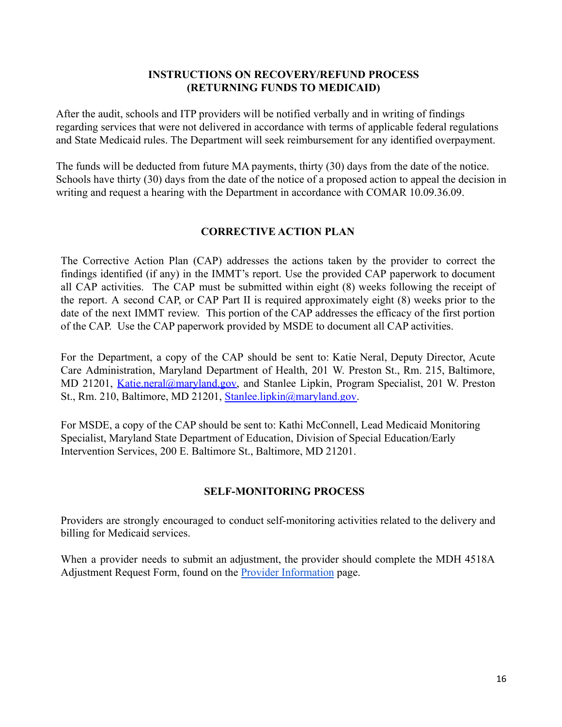### **INSTRUCTIONS ON RECOVERY/REFUND PROCESS (RETURNING FUNDS TO MEDICAID)**

<span id="page-15-0"></span>After the audit, schools and ITP providers will be notified verbally and in writing of findings regarding services that were not delivered in accordance with terms of applicable federal regulations and State Medicaid rules. The Department will seek reimbursement for any identified overpayment.

The funds will be deducted from future MA payments, thirty (30) days from the date of the notice. Schools have thirty (30) days from the date of the notice of a proposed action to appeal the decision in writing and request a hearing with the Department in accordance with COMAR 10.09.36.09.

## **CORRECTIVE ACTION PLAN**

<span id="page-15-1"></span>The Corrective Action Plan (CAP) addresses the actions taken by the provider to correct the findings identified (if any) in the IMMT's report. Use the provided CAP paperwork to document all CAP activities. The CAP must be submitted within eight (8) weeks following the receipt of the report. A second CAP, or CAP Part II is required approximately eight (8) weeks prior to the date of the next IMMT review. This portion of the CAP addresses the efficacy of the first portion of the CAP. Use the CAP paperwork provided by MSDE to document all CAP activities.

For the Department, a copy of the CAP should be sent to: Katie Neral, Deputy Director, Acute Care Administration, Maryland Department of Health, 201 W. Preston St., Rm. 215, Baltimore, MD 21201, *Katie.neral@maryland.gov*, and Stanlee Lipkin, Program Specialist, 201 W. Preston St., Rm. 210, Baltimore, MD 21201, [Stanlee.lipkin@maryland.gov.](mailto:Stanlee.lipkin@maryland.gov)

For MSDE, a copy of the CAP should be sent to: Kathi McConnell, Lead Medicaid Monitoring Specialist, Maryland State Department of Education, Division of Special Education/Early Intervention Services, 200 E. Baltimore St., Baltimore, MD 21201.

#### **SELF-MONITORING PROCESS**

<span id="page-15-2"></span>Providers are strongly encouraged to conduct self-monitoring activities related to the delivery and billing for Medicaid services.

When a provider needs to submit an adjustment, the provider should complete the MDH 4518A Adjustment Request Form, found on the [Provider Information](https://health.maryland.gov/mmcp/Pages/Provider-Information.aspx) page.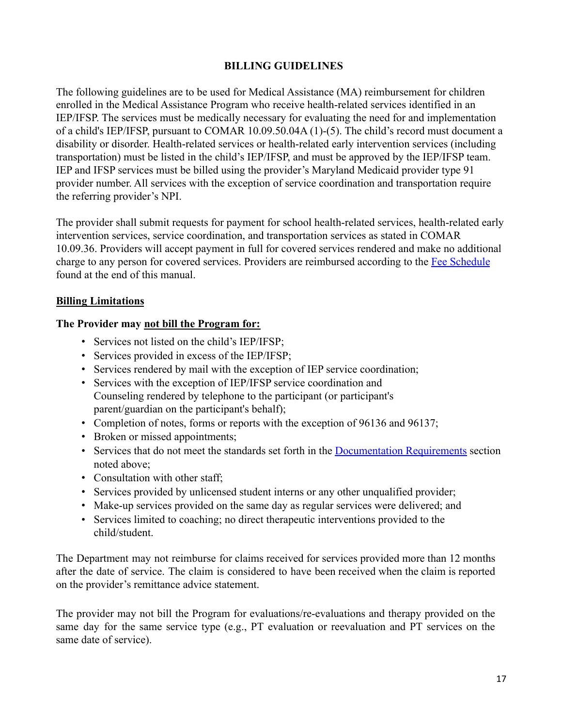## **BILLING GUIDELINES**

<span id="page-16-0"></span>The following guidelines are to be used for Medical Assistance (MA) reimbursement for children enrolled in the Medical Assistance Program who receive health-related services identified in an IEP/IFSP. The services must be medically necessary for evaluating the need for and implementation of a child's IEP/IFSP, pursuant to COMAR 10.09.50.04A (1)-(5). The child's record must document a disability or disorder. Health-related services or health-related early intervention services (including transportation) must be listed in the child's IEP/IFSP, and must be approved by the IEP/IFSP team. IEP and IFSP services must be billed using the provider's Maryland Medicaid provider type 91 provider number. All services with the exception of service coordination and transportation require the referring provider's NPI.

The provider shall submit requests for payment for school health-related services, health-related early intervention services, service coordination, and transportation services as stated in COMAR 10.09.36. Providers will accept payment in full for covered services rendered and make no additional charge to any person for covered services. Providers are reimbursed according to the Fee Schedule found at the end of this manual.

#### <span id="page-16-1"></span>**Billing Limitations**

#### **The Provider may not bill the Program for:**

- Services not listed on the child's IEP/IFSP;
- Services provided in excess of the IEP/IFSP;
- Services rendered by mail with the exception of IEP service coordination;
- Services with the exception of IEP/IFSP service coordination and Counseling rendered by telephone to the participant (or participant's parent/guardian on the participant's behalf);
- Completion of notes, forms or reports with the exception of 96136 and 96137;
- Broken or missed appointments;
- Services that do not meet the standards set forth in the Documentation Requirements section noted above;
- Consultation with other staff;
- Services provided by unlicensed student interns or any other unqualified provider;
- Make-up services provided on the same day as regular services were delivered; and
- Services limited to coaching; no direct therapeutic interventions provided to the child/student.

The Department may not reimburse for claims received for services provided more than 12 months after the date of service. The claim is considered to have been received when the claim is reported on the provider's remittance advice statement.

The provider may not bill the Program for evaluations/re-evaluations and therapy provided on the same day for the same service type (e.g., PT evaluation or reevaluation and PT services on the same date of service).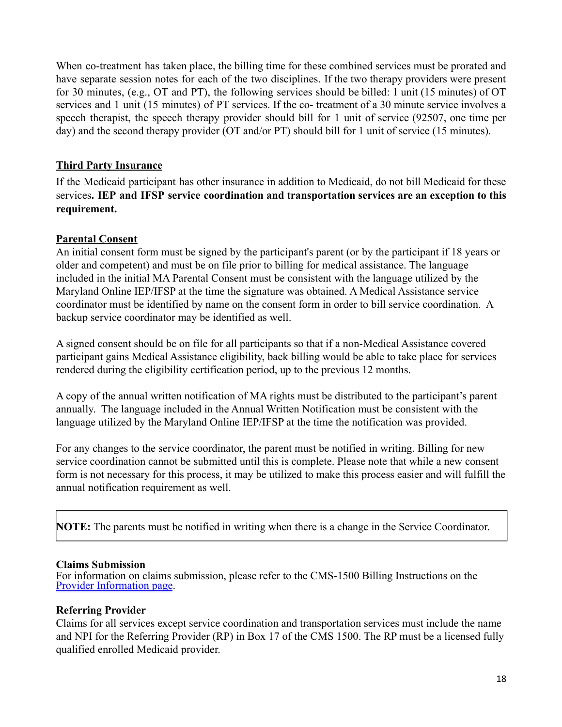When co-treatment has taken place, the billing time for these combined services must be prorated and have separate session notes for each of the two disciplines. If the two therapy providers were present for 30 minutes, (e.g., OT and PT), the following services should be billed: 1 unit (15 minutes) of OT services and 1 unit (15 minutes) of PT services. If the co- treatment of a 30 minute service involves a speech therapist, the speech therapy provider should bill for 1 unit of service (92507, one time per day) and the second therapy provider (OT and/or PT) should bill for 1 unit of service (15 minutes).

## <span id="page-17-0"></span>**Third Party Insurance**

If the Medicaid participant has other insurance in addition to Medicaid, do not bill Medicaid for these services**. IEP and IFSP service coordination and transportation services are an exception to this requirement.**

## <span id="page-17-1"></span>**Parental Consent**

An initial consent form must be signed by the participant's parent (or by the participant if 18 years or older and competent) and must be on file prior to billing for medical assistance. The language included in the initial MA Parental Consent must be consistent with the language utilized by the Maryland Online IEP/IFSP at the time the signature was obtained. A Medical Assistance service coordinator must be identified by name on the consent form in order to bill service coordination. A backup service coordinator may be identified as well.

A signed consent should be on file for all participants so that if a non-Medical Assistance covered participant gains Medical Assistance eligibility, back billing would be able to take place for services rendered during the eligibility certification period, up to the previous 12 months.

A copy of the annual written notification of MA rights must be distributed to the participant's parent annually. The language included in the Annual Written Notification must be consistent with the language utilized by the Maryland Online IEP/IFSP at the time the notification was provided.

For any changes to the service coordinator, the parent must be notified in writing. Billing for new service coordination cannot be submitted until this is complete. Please note that while a new consent form is not necessary for this process, it may be utilized to make this process easier and will fulfill the annual notification requirement as well.

**NOTE:** The parents must be notified in writing when there is a change in the Service Coordinator.

## <span id="page-17-2"></span>**Claims Submission**

For information on claims submission, please refer to the CMS-1500 Billing Instructions on the [Provider Information page](https://health.maryland.gov/mmcp/Pages/Provider-Information.aspx).

## **Referring Provider**

Claims for all services except service coordination and transportation services must include the name and NPI for the Referring Provider (RP) in Box 17 of the CMS 1500. The RP must be a licensed fully qualified enrolled Medicaid provider.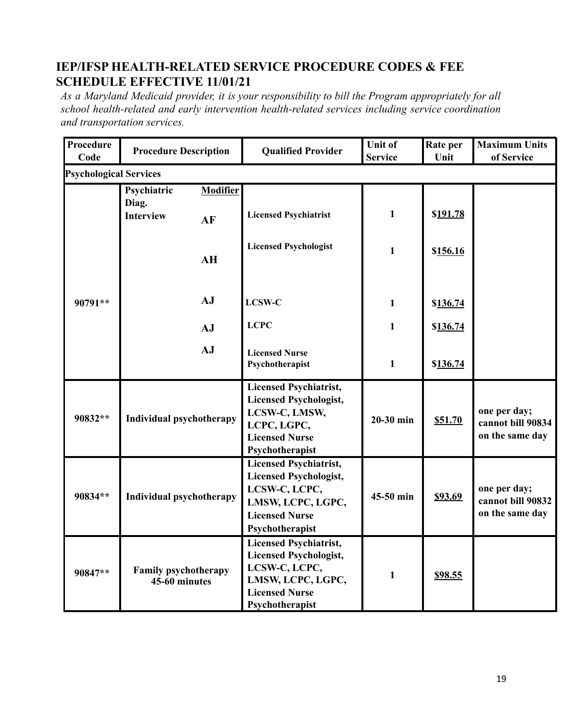# <span id="page-18-0"></span>**IEP/IFSP HEALTH-RELATED SERVICE PROCEDURE CODES & FEE SCHEDULE EFFECTIVE 11/01/21**

*As a Maryland Medicaid provider, it is your responsibility to bill the Program appropriately for all school health-related and early intervention health-related services including service coordination and transportation services.*

| <b>Procedure</b><br>Code      | <b>Procedure Description</b>                   |                       | <b>Qualified Provider</b>                                                                                                                        | <b>Unit of</b><br><b>Service</b> | Rate per<br>Unit | <b>Maximum Units</b><br>of Service                   |
|-------------------------------|------------------------------------------------|-----------------------|--------------------------------------------------------------------------------------------------------------------------------------------------|----------------------------------|------------------|------------------------------------------------------|
| <b>Psychological Services</b> |                                                |                       |                                                                                                                                                  |                                  |                  |                                                      |
|                               | Psychiatric<br>Diag.<br><b>Interview</b>       | <b>Modifier</b><br>AF | <b>Licensed Psychiatrist</b>                                                                                                                     | $\mathbf{1}$                     | \$191.78         |                                                      |
|                               |                                                | AH                    | <b>Licensed Psychologist</b>                                                                                                                     | $\mathbf{1}$                     | \$156.16         |                                                      |
| 90791**                       |                                                | AJ                    | <b>LCSW-C</b>                                                                                                                                    | 1                                | \$136.74         |                                                      |
|                               |                                                | AJ                    | <b>LCPC</b>                                                                                                                                      | $\mathbf{1}$                     | \$136.74         |                                                      |
|                               |                                                | AJ                    | <b>Licensed Nurse</b><br>Psychotherapist                                                                                                         | $\mathbf{1}$                     | \$136.74         |                                                      |
| 90832**                       | <b>Individual psychotherapy</b>                |                       | <b>Licensed Psychiatrist,</b><br><b>Licensed Psychologist,</b><br>LCSW-C, LMSW,<br>LCPC, LGPC,<br><b>Licensed Nurse</b><br>Psychotherapist       | $20-30$ min                      | \$51.70          | one per day;<br>cannot bill 90834<br>on the same day |
| 90834**                       | <b>Individual psychotherapy</b>                |                       | <b>Licensed Psychiatrist,</b><br><b>Licensed Psychologist,</b><br>LCSW-C, LCPC,<br>LMSW, LCPC, LGPC,<br><b>Licensed Nurse</b><br>Psychotherapist | 45-50 min                        | \$93.69          | one per day;<br>cannot bill 90832<br>on the same day |
| 90847**                       | <b>Family psychotherapy</b><br>$45-60$ minutes |                       | <b>Licensed Psychiatrist,</b><br><b>Licensed Psychologist,</b><br>LCSW-C, LCPC,<br>LMSW, LCPC, LGPC,<br><b>Licensed Nurse</b><br>Psychotherapist | $\mathbf{1}$                     | <u>\$98.55</u>   |                                                      |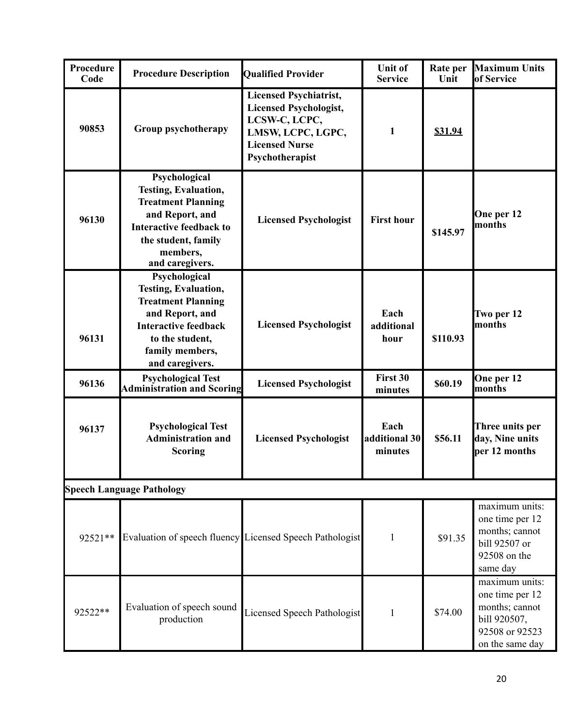| Procedure<br>Code | <b>Procedure Description</b>                                                                                                                                                         | <b>Qualified Provider</b>                                                                                                                        | <b>Unit of</b><br><b>Service</b> | Rate per<br>Unit | <b>Maximum Units</b><br>of Service                                                                       |
|-------------------|--------------------------------------------------------------------------------------------------------------------------------------------------------------------------------------|--------------------------------------------------------------------------------------------------------------------------------------------------|----------------------------------|------------------|----------------------------------------------------------------------------------------------------------|
| 90853             | Group psychotherapy                                                                                                                                                                  | <b>Licensed Psychiatrist,</b><br><b>Licensed Psychologist,</b><br>LCSW-C, LCPC,<br>LMSW, LCPC, LGPC,<br><b>Licensed Nurse</b><br>Psychotherapist | 1                                | <b>\$31.94</b>   |                                                                                                          |
| 96130             | Psychological<br><b>Testing, Evaluation,</b><br><b>Treatment Planning</b><br>and Report, and<br><b>Interactive feedback to</b><br>the student, family<br>members,<br>and caregivers. | <b>Licensed Psychologist</b>                                                                                                                     | <b>First hour</b>                | \$145.97         | One per 12<br>months                                                                                     |
| 96131             | Psychological<br><b>Testing, Evaluation,</b><br><b>Treatment Planning</b><br>and Report, and<br><b>Interactive feedback</b><br>to the student,<br>family members,<br>and caregivers. | <b>Licensed Psychologist</b>                                                                                                                     | Each<br>additional<br>hour       | \$110.93         | Two per 12<br>months                                                                                     |
| 96136             | <b>Psychological Test</b><br><b>Administration and Scoring</b>                                                                                                                       | <b>Licensed Psychologist</b>                                                                                                                     | First 30<br>minutes              | \$60.19          | One per 12<br>months                                                                                     |
| 96137             | <b>Psychological Test</b><br><b>Administration and</b><br><b>Scoring</b>                                                                                                             | <b>Licensed Psychologist</b>                                                                                                                     | Each<br>additional 30<br>minutes | \$56.11          | Three units per<br>day, Nine units<br>per 12 months                                                      |
|                   | <b>Speech Language Pathology</b>                                                                                                                                                     |                                                                                                                                                  |                                  |                  |                                                                                                          |
| 92521**           | Evaluation of speech fluency Licensed Speech Pathologist                                                                                                                             |                                                                                                                                                  | 1                                | \$91.35          | maximum units:<br>one time per 12<br>months; cannot<br>bill 92507 or<br>92508 on the<br>same day         |
| 92522**           | Evaluation of speech sound<br>production                                                                                                                                             | Licensed Speech Pathologist                                                                                                                      | $\mathbf{1}$                     | \$74.00          | maximum units:<br>one time per 12<br>months; cannot<br>bill 920507,<br>92508 or 92523<br>on the same day |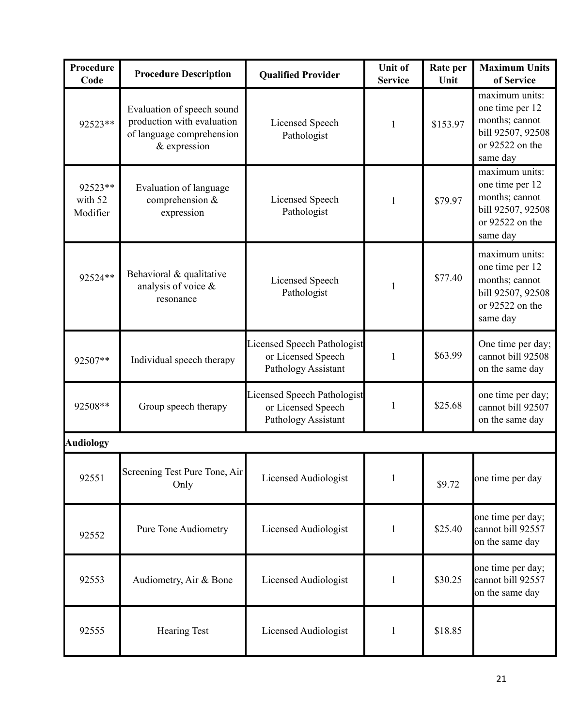| Procedure<br>Code              | <b>Procedure Description</b>                                                                          | <b>Qualified Provider</b>                                                       | <b>Unit of</b><br><b>Service</b> | Rate per<br>Unit | <b>Maximum Units</b><br>of Service                                                                      |
|--------------------------------|-------------------------------------------------------------------------------------------------------|---------------------------------------------------------------------------------|----------------------------------|------------------|---------------------------------------------------------------------------------------------------------|
| 92523**                        | Evaluation of speech sound<br>production with evaluation<br>of language comprehension<br>& expression | <b>Licensed Speech</b><br>Pathologist                                           | 1                                | \$153.97         | maximum units:<br>one time per 12<br>months; cannot<br>bill 92507, 92508<br>or 92522 on the<br>same day |
| 92523**<br>with 52<br>Modifier | Evaluation of language<br>comprehension &<br>expression                                               | Licensed Speech<br>Pathologist                                                  | 1                                | \$79.97          | maximum units:<br>one time per 12<br>months; cannot<br>bill 92507, 92508<br>or 92522 on the<br>same day |
| 92524**                        | Behavioral & qualitative<br>analysis of voice &<br>resonance                                          | Licensed Speech<br>Pathologist                                                  | 1                                | \$77.40          | maximum units:<br>one time per 12<br>months; cannot<br>bill 92507, 92508<br>or 92522 on the<br>same day |
| 92507**                        | Individual speech therapy                                                                             | <b>Licensed Speech Pathologist</b><br>or Licensed Speech<br>Pathology Assistant | 1                                | \$63.99          | One time per day;<br>cannot bill 92508<br>on the same day                                               |
| 92508**                        | Group speech therapy                                                                                  | <b>Licensed Speech Pathologist</b><br>or Licensed Speech<br>Pathology Assistant | 1                                | \$25.68          | one time per day;<br>cannot bill 92507<br>on the same day                                               |
| <b>Audiology</b>               |                                                                                                       |                                                                                 |                                  |                  |                                                                                                         |
| 92551                          | Screening Test Pure Tone, Air<br>Only                                                                 | Licensed Audiologist                                                            | 1                                | \$9.72           | one time per day                                                                                        |
| 92552                          | <b>Pure Tone Audiometry</b>                                                                           | Licensed Audiologist                                                            | $\mathbf{1}$                     | \$25.40          | one time per day;<br>cannot bill 92557<br>on the same day                                               |
| 92553                          | Audiometry, Air & Bone                                                                                | Licensed Audiologist                                                            | 1                                | \$30.25          | one time per day;<br>cannot bill 92557<br>on the same day                                               |
| 92555                          | <b>Hearing Test</b>                                                                                   | Licensed Audiologist                                                            | 1                                | \$18.85          |                                                                                                         |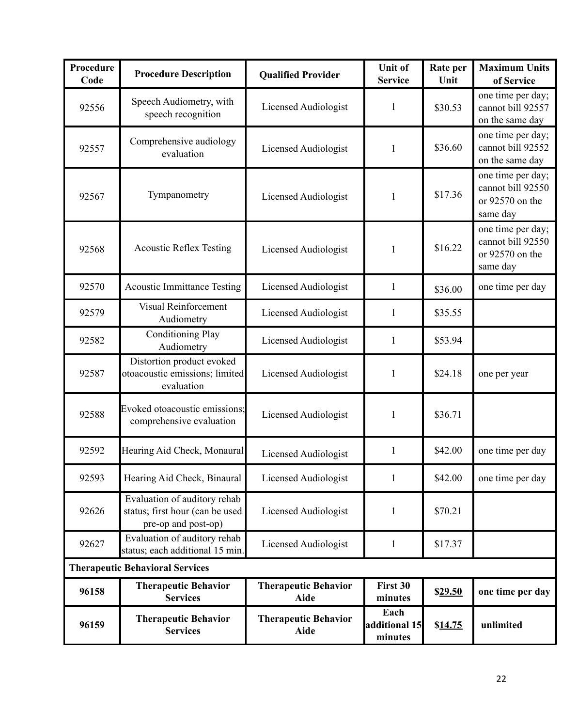| <b>Procedure</b><br>Code               | <b>Procedure Description</b>                                                           | <b>Qualified Provider</b>                  | <b>Unit of</b><br><b>Service</b> | Rate per<br>Unit | <b>Maximum Units</b><br>of Service                                    |
|----------------------------------------|----------------------------------------------------------------------------------------|--------------------------------------------|----------------------------------|------------------|-----------------------------------------------------------------------|
| 92556                                  | Speech Audiometry, with<br>speech recognition                                          | <b>Licensed Audiologist</b>                | 1                                | \$30.53          | one time per day;<br>cannot bill 92557<br>on the same day             |
| 92557                                  | Comprehensive audiology<br>evaluation                                                  | Licensed Audiologist                       | 1                                | \$36.60          | one time per day;<br>cannot bill 92552<br>on the same day             |
| 92567                                  | Tympanometry                                                                           | Licensed Audiologist                       | 1                                | \$17.36          | one time per day;<br>cannot bill 92550<br>or 92570 on the<br>same day |
| 92568                                  | <b>Acoustic Reflex Testing</b>                                                         | Licensed Audiologist                       | 1                                | \$16.22          | one time per day;<br>cannot bill 92550<br>or 92570 on the<br>same day |
| 92570                                  | <b>Acoustic Immittance Testing</b>                                                     | Licensed Audiologist                       | $\mathbf{1}$                     | \$36.00          | one time per day                                                      |
| 92579                                  | <b>Visual Reinforcement</b><br>Audiometry                                              | Licensed Audiologist                       | 1                                | \$35.55          |                                                                       |
| 92582                                  | <b>Conditioning Play</b><br>Audiometry                                                 | Licensed Audiologist                       | 1                                | \$53.94          |                                                                       |
| 92587                                  | Distortion product evoked<br>otoacoustic emissions; limited<br>evaluation              | Licensed Audiologist                       | 1                                | \$24.18          | one per year                                                          |
| 92588                                  | Evoked otoacoustic emissions;<br>comprehensive evaluation                              | <b>Licensed Audiologist</b>                | 1                                | \$36.71          |                                                                       |
| 92592                                  | Hearing Aid Check, Monaural                                                            | Licensed Audiologist                       | 1                                | \$42.00          | one time per day                                                      |
| 92593                                  | Hearing Aid Check, Binaural                                                            | <b>Licensed Audiologist</b>                | 1                                | \$42.00          | one time per day                                                      |
| 92626                                  | Evaluation of auditory rehab<br>status; first hour (can be used<br>pre-op and post-op) | Licensed Audiologist                       | 1                                | \$70.21          |                                                                       |
| 92627                                  | Evaluation of auditory rehab<br>status; each additional 15 min.                        | Licensed Audiologist                       | 1                                | \$17.37          |                                                                       |
| <b>Therapeutic Behavioral Services</b> |                                                                                        |                                            |                                  |                  |                                                                       |
| 96158                                  | <b>Therapeutic Behavior</b><br><b>Services</b>                                         | <b>Therapeutic Behavior</b><br><b>Aide</b> | First 30<br>minutes              | \$29.50          | one time per day                                                      |
| 96159                                  | <b>Therapeutic Behavior</b><br><b>Services</b>                                         | <b>Therapeutic Behavior</b><br>Aide        | Each<br>additional 15<br>minutes | \$14.75          | unlimited                                                             |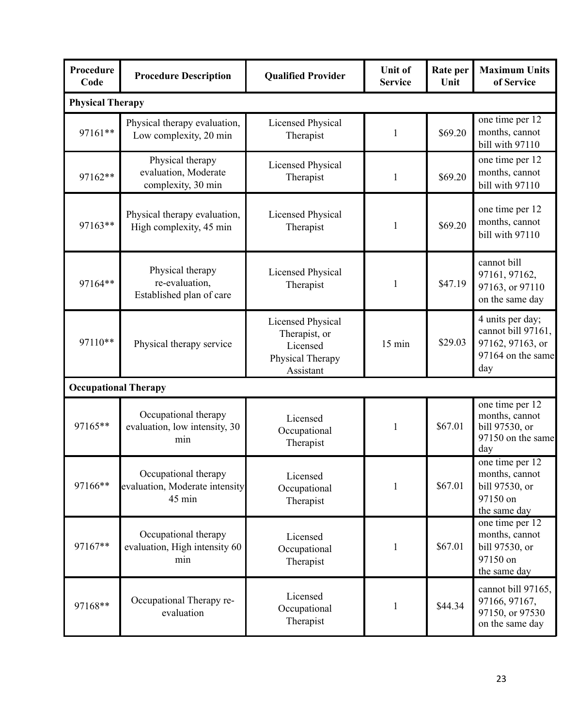| <b>Procedure</b><br>Code    | <b>Procedure Description</b>                                     | <b>Qualified Provider</b>                                                              | <b>Unit of</b><br><b>Service</b> | Rate per<br>Unit | <b>Maximum Units</b><br>of Service                                                     |
|-----------------------------|------------------------------------------------------------------|----------------------------------------------------------------------------------------|----------------------------------|------------------|----------------------------------------------------------------------------------------|
| <b>Physical Therapy</b>     |                                                                  |                                                                                        |                                  |                  |                                                                                        |
| 97161**                     | Physical therapy evaluation,<br>Low complexity, 20 min           | <b>Licensed Physical</b><br>Therapist                                                  | $\mathbf{1}$                     | \$69.20          | one time per 12<br>months, cannot<br>bill with 97110                                   |
| 97162**                     | Physical therapy<br>evaluation, Moderate<br>complexity, 30 min   | <b>Licensed Physical</b><br>Therapist                                                  | $\mathbf{1}$                     | \$69.20          | one time per 12<br>months, cannot<br>bill with 97110                                   |
| 97163**                     | Physical therapy evaluation,<br>High complexity, 45 min          | <b>Licensed Physical</b><br>Therapist                                                  | 1                                | \$69.20          | one time per 12<br>months, cannot<br>bill with 97110                                   |
| 97164**                     | Physical therapy<br>re-evaluation,<br>Established plan of care   | <b>Licensed Physical</b><br>Therapist                                                  | 1                                | \$47.19          | cannot bill<br>97161, 97162,<br>97163, or 97110<br>on the same day                     |
| 97110**                     | Physical therapy service                                         | <b>Licensed Physical</b><br>Therapist, or<br>Licensed<br>Physical Therapy<br>Assistant | 15 min                           | \$29.03          | 4 units per day;<br>cannot bill 97161,<br>97162, 97163, or<br>97164 on the same<br>day |
| <b>Occupational Therapy</b> |                                                                  |                                                                                        |                                  |                  |                                                                                        |
| 97165**                     | Occupational therapy<br>evaluation, low intensity, 30<br>min     | Licensed<br>Occupational<br>Therapist                                                  | $\mathbf{1}$                     | \$67.01          | one time per 12<br>months, cannot<br>bill 97530, or<br>97150 on the same<br>day        |
| 97166**                     | Occupational therapy<br>evaluation, Moderate intensity<br>45 min | Licensed<br>Occupational<br>Therapist                                                  | $\mathbf{1}$                     | \$67.01          | one time per 12<br>months, cannot<br>bill 97530, or<br>97150 on<br>the same day        |
| 97167**                     | Occupational therapy<br>evaluation, High intensity 60<br>min     | Licensed<br>Occupational<br>Therapist                                                  | $\mathbf{1}$                     | \$67.01          | one time per 12<br>months, cannot<br>bill 97530, or<br>97150 on<br>the same day        |
| 97168**                     | Occupational Therapy re-<br>evaluation                           | Licensed<br>Occupational<br>Therapist                                                  | $\mathbf{1}$                     | \$44.34          | cannot bill 97165,<br>97166, 97167,<br>97150, or 97530<br>on the same day              |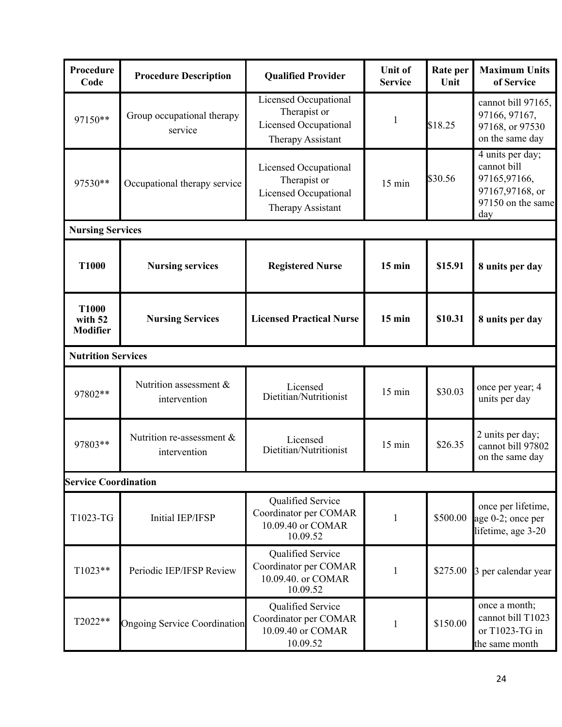| Procedure<br>Code                          | <b>Procedure Description</b>              | <b>Qualified Provider</b>                                                           | <b>Unit of</b><br><b>Service</b> | Rate per<br>Unit | <b>Maximum Units</b><br>of Service                                                             |
|--------------------------------------------|-------------------------------------------|-------------------------------------------------------------------------------------|----------------------------------|------------------|------------------------------------------------------------------------------------------------|
| 97150**                                    | Group occupational therapy<br>service     | Licensed Occupational<br>Therapist or<br>Licensed Occupational<br>Therapy Assistant | 1                                | \$18.25          | cannot bill 97165,<br>97166, 97167,<br>97168, or 97530<br>on the same day                      |
| 97530**                                    | Occupational therapy service              | Licensed Occupational<br>Therapist or<br>Licensed Occupational<br>Therapy Assistant | 15 min                           | \$30.56          | 4 units per day;<br>cannot bill<br>97165,97166,<br>97167,97168, or<br>97150 on the same<br>day |
| <b>Nursing Services</b>                    |                                           |                                                                                     |                                  |                  |                                                                                                |
| <b>T1000</b>                               | <b>Nursing services</b>                   | <b>Registered Nurse</b>                                                             | $15$ min                         | \$15.91          | 8 units per day                                                                                |
| <b>T1000</b><br>with 52<br><b>Modifier</b> | <b>Nursing Services</b>                   | <b>Licensed Practical Nurse</b>                                                     | $15$ min                         | \$10.31          | 8 units per day                                                                                |
| <b>Nutrition Services</b>                  |                                           |                                                                                     |                                  |                  |                                                                                                |
| 97802**                                    | Nutrition assessment &<br>intervention    | Licensed<br>Dietitian/Nutritionist                                                  | 15 min                           | \$30.03          | once per year; 4<br>units per day                                                              |
| 97803**                                    | Nutrition re-assessment &<br>intervention | Licensed<br>Dietitian/Nutritionist                                                  | 15 min                           | \$26.35          | 2 units per day;<br>cannot bill 97802<br>on the same day                                       |
| <b>Service Coordination</b>                |                                           |                                                                                     |                                  |                  |                                                                                                |
| T1023-TG                                   | <b>Initial IEP/IFSP</b>                   | Qualified Service<br>Coordinator per COMAR<br>10.09.40 or COMAR<br>10.09.52         | 1                                | \$500.00         | once per lifetime,<br>age 0-2; once per<br>lifetime, age 3-20                                  |
| $T1023**$                                  | Periodic IEP/IFSP Review                  | Qualified Service<br>Coordinator per COMAR<br>10.09.40. or COMAR<br>10.09.52        | 1                                | \$275.00         | 3 per calendar year                                                                            |
| T2022**                                    | <b>Ongoing Service Coordination</b>       | Qualified Service<br>Coordinator per COMAR<br>10.09.40 or COMAR<br>10.09.52         | 1                                | \$150.00         | once a month;<br>cannot bill T1023<br>or T1023-TG in<br>the same month                         |